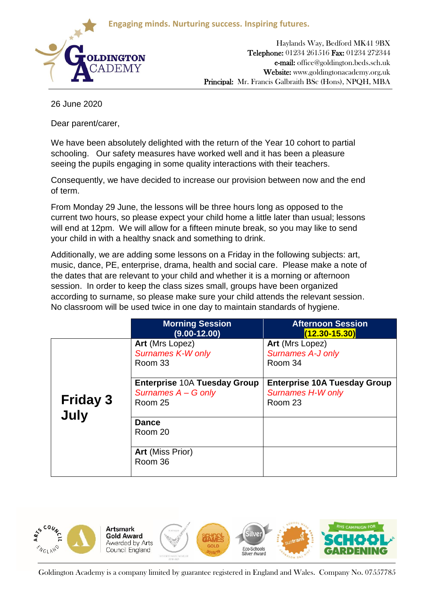**Engaging minds. Nurturing success. Inspiring futures.**



Haylands Way, Bedford MK41 9BX Telephone: 01234 261516 Fax: 01234 272344 e-mail: office@goldington.beds.sch.uk Website: www.goldingtonacademy.org.uk Principal: Mr. Francis Galbraith BSc (Hons), NPQH, MBA

26 June 2020

Dear parent/carer,

We have been absolutely delighted with the return of the Year 10 cohort to partial schooling. Our safety measures have worked well and it has been a pleasure seeing the pupils engaging in some quality interactions with their teachers.

Consequently, we have decided to increase our provision between now and the end of term.

From Monday 29 June, the lessons will be three hours long as opposed to the current two hours, so please expect your child home a little later than usual; lessons will end at 12pm. We will allow for a fifteen minute break, so you may like to send your child in with a healthy snack and something to drink.

Additionally, we are adding some lessons on a Friday in the following subjects: art, music, dance, PE, enterprise, drama, health and social care. Please make a note of the dates that are relevant to your child and whether it is a morning or afternoon session. In order to keep the class sizes small, groups have been organized according to surname, so please make sure your child attends the relevant session. No classroom will be used twice in one day to maintain standards of hygiene.

|                         | <b>Morning Session</b><br>$(9.00 - 12.00)$                            | <b>Afternoon Session</b><br>$(12.30 - 15.30)$                              |
|-------------------------|-----------------------------------------------------------------------|----------------------------------------------------------------------------|
| <b>Friday 3</b><br>July | Art (Mrs Lopez)<br><b>Surnames K-W only</b><br>Room 33                | Art (Mrs Lopez)<br><b>Surnames A-J only</b><br>Room 34                     |
|                         | <b>Enterprise 10A Tuesday Group</b><br>Surnames A - G only<br>Room 25 | <b>Enterprise 10A Tuesday Group</b><br><b>Surnames H-W only</b><br>Room 23 |
|                         | <b>Dance</b><br>Room 20                                               |                                                                            |
|                         | <b>Art</b> (Miss Prior)<br>Room 36                                    |                                                                            |



Goldington Academy is a company limited by guarantee registered in England and Wales. Company No. 07557785